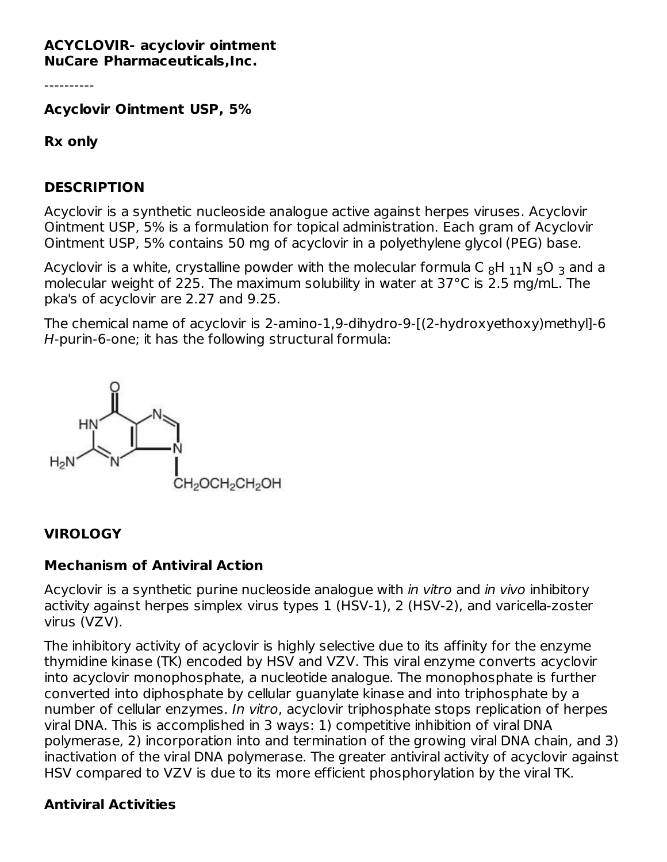#### **ACYCLOVIR- acyclovir ointment NuCare Pharmaceuticals,Inc.**

----------

**Acyclovir Ointment USP, 5%**

**Rx only**

#### **DESCRIPTION**

Acyclovir is a synthetic nucleoside analogue active against herpes viruses. Acyclovir Ointment USP, 5% is a formulation for topical administration. Each gram of Acyclovir Ointment USP, 5% contains 50 mg of acyclovir in a polyethylene glycol (PEG) base.

Acyclovir is a white, crystalline powder with the molecular formula C  $_8$ H  $_{\rm 11}$ N  $_5$ O  $_3$  and a molecular weight of 225. The maximum solubility in water at 37°C is 2.5 mg/mL. The pka's of acyclovir are 2.27 and 9.25.

The chemical name of acyclovir is 2-amino-1,9-dihydro-9-[(2-hydroxyethoxy)methyl]-6 H-purin-6-one; it has the following structural formula:



#### **VIROLOGY**

#### **Mechanism of Antiviral Action**

Acyclovir is a synthetic purine nucleoside analogue with *in vitro* and *in vivo* inhibitory activity against herpes simplex virus types 1 (HSV-1), 2 (HSV-2), and varicella-zoster virus (VZV).

The inhibitory activity of acyclovir is highly selective due to its affinity for the enzyme thymidine kinase (TK) encoded by HSV and VZV. This viral enzyme converts acyclovir into acyclovir monophosphate, a nucleotide analogue. The monophosphate is further converted into diphosphate by cellular guanylate kinase and into triphosphate by a number of cellular enzymes. In vitro, acyclovir triphosphate stops replication of herpes viral DNA. This is accomplished in 3 ways: 1) competitive inhibition of viral DNA polymerase, 2) incorporation into and termination of the growing viral DNA chain, and 3) inactivation of the viral DNA polymerase. The greater antiviral activity of acyclovir against HSV compared to VZV is due to its more efficient phosphorylation by the viral TK.

#### **Antiviral Activities**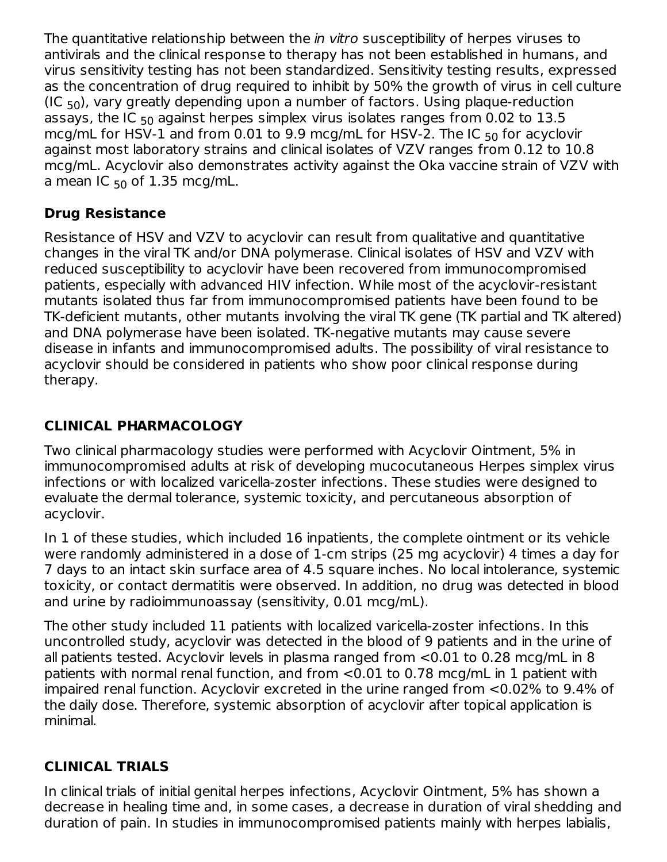The quantitative relationship between the *in vitro* susceptibility of herpes viruses to antivirals and the clinical response to therapy has not been established in humans, and virus sensitivity testing has not been standardized. Sensitivity testing results, expressed as the concentration of drug required to inhibit by 50% the growth of virus in cell culture (IC  $_{50}$ ), vary greatly depending upon a number of factors. Using plaque-reduction assays, the IC  $_{50}$  against herpes simplex virus isolates ranges from 0.02 to  $13.5\,$ mcg/mL for HSV-1 and from 0.01 to 9.9 mcg/mL for HSV-2. The IC  $_{50}$  for acyclovir against most laboratory strains and clinical isolates of VZV ranges from 0.12 to 10.8 mcg/mL. Acyclovir also demonstrates activity against the Oka vaccine strain of VZV with a mean IC  $_{50}$  of 1.35 mcg/mL.

## **Drug Resistance**

Resistance of HSV and VZV to acyclovir can result from qualitative and quantitative changes in the viral TK and/or DNA polymerase. Clinical isolates of HSV and VZV with reduced susceptibility to acyclovir have been recovered from immunocompromised patients, especially with advanced HIV infection. While most of the acyclovir-resistant mutants isolated thus far from immunocompromised patients have been found to be TK-deficient mutants, other mutants involving the viral TK gene (TK partial and TK altered) and DNA polymerase have been isolated. TK-negative mutants may cause severe disease in infants and immunocompromised adults. The possibility of viral resistance to acyclovir should be considered in patients who show poor clinical response during therapy.

# **CLINICAL PHARMACOLOGY**

Two clinical pharmacology studies were performed with Acyclovir Ointment, 5% in immunocompromised adults at risk of developing mucocutaneous Herpes simplex virus infections or with localized varicella-zoster infections. These studies were designed to evaluate the dermal tolerance, systemic toxicity, and percutaneous absorption of acyclovir.

In 1 of these studies, which included 16 inpatients, the complete ointment or its vehicle were randomly administered in a dose of 1-cm strips (25 mg acyclovir) 4 times a day for 7 days to an intact skin surface area of 4.5 square inches. No local intolerance, systemic toxicity, or contact dermatitis were observed. In addition, no drug was detected in blood and urine by radioimmunoassay (sensitivity, 0.01 mcg/mL).

The other study included 11 patients with localized varicella-zoster infections. In this uncontrolled study, acyclovir was detected in the blood of 9 patients and in the urine of all patients tested. Acyclovir levels in plasma ranged from <0.01 to 0.28 mcg/mL in 8 patients with normal renal function, and from <0.01 to 0.78 mcg/mL in 1 patient with impaired renal function. Acyclovir excreted in the urine ranged from <0.02% to 9.4% of the daily dose. Therefore, systemic absorption of acyclovir after topical application is minimal.

## **CLINICAL TRIALS**

In clinical trials of initial genital herpes infections, Acyclovir Ointment, 5% has shown a decrease in healing time and, in some cases, a decrease in duration of viral shedding and duration of pain. In studies in immunocompromised patients mainly with herpes labialis,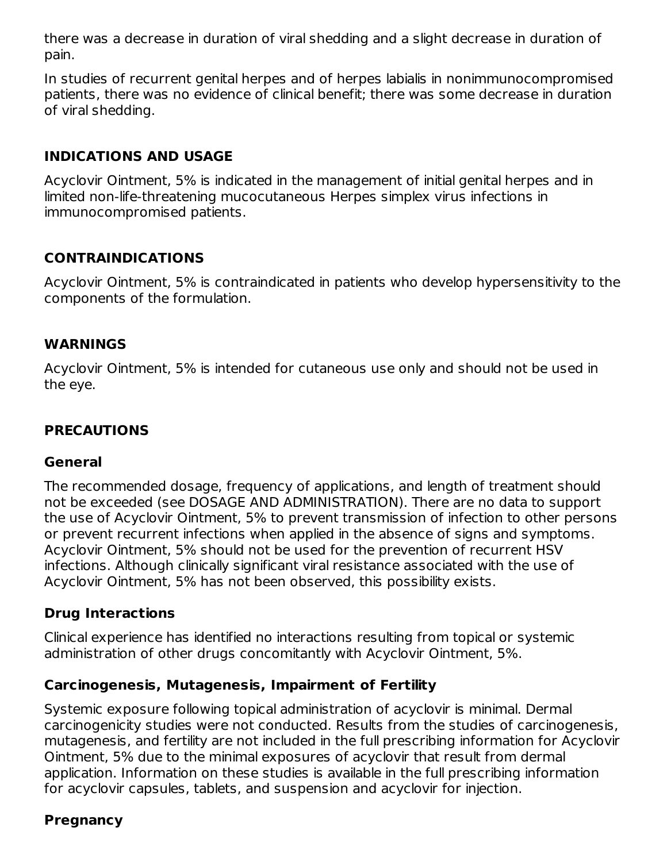there was a decrease in duration of viral shedding and a slight decrease in duration of pain.

In studies of recurrent genital herpes and of herpes labialis in nonimmunocompromised patients, there was no evidence of clinical benefit; there was some decrease in duration of viral shedding.

#### **INDICATIONS AND USAGE**

Acyclovir Ointment, 5% is indicated in the management of initial genital herpes and in limited non-life-threatening mucocutaneous Herpes simplex virus infections in immunocompromised patients.

### **CONTRAINDICATIONS**

Acyclovir Ointment, 5% is contraindicated in patients who develop hypersensitivity to the components of the formulation.

#### **WARNINGS**

Acyclovir Ointment, 5% is intended for cutaneous use only and should not be used in the eye.

#### **PRECAUTIONS**

#### **General**

The recommended dosage, frequency of applications, and length of treatment should not be exceeded (see DOSAGE AND ADMINISTRATION). There are no data to support the use of Acyclovir Ointment, 5% to prevent transmission of infection to other persons or prevent recurrent infections when applied in the absence of signs and symptoms. Acyclovir Ointment, 5% should not be used for the prevention of recurrent HSV infections. Although clinically significant viral resistance associated with the use of Acyclovir Ointment, 5% has not been observed, this possibility exists.

#### **Drug Interactions**

Clinical experience has identified no interactions resulting from topical or systemic administration of other drugs concomitantly with Acyclovir Ointment, 5%.

#### **Carcinogenesis, Mutagenesis, Impairment of Fertility**

Systemic exposure following topical administration of acyclovir is minimal. Dermal carcinogenicity studies were not conducted. Results from the studies of carcinogenesis, mutagenesis, and fertility are not included in the full prescribing information for Acyclovir Ointment, 5% due to the minimal exposures of acyclovir that result from dermal application. Information on these studies is available in the full prescribing information for acyclovir capsules, tablets, and suspension and acyclovir for injection.

#### **Pregnancy**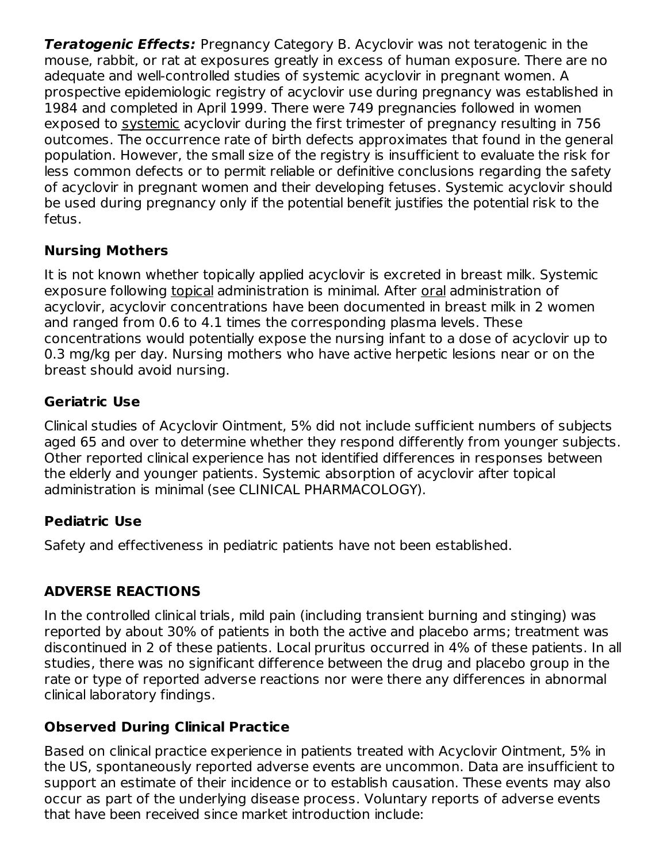**Teratogenic Effects:** Pregnancy Category B. Acyclovir was not teratogenic in the mouse, rabbit, or rat at exposures greatly in excess of human exposure. There are no adequate and well-controlled studies of systemic acyclovir in pregnant women. A prospective epidemiologic registry of acyclovir use during pregnancy was established in 1984 and completed in April 1999. There were 749 pregnancies followed in women exposed to systemic acyclovir during the first trimester of pregnancy resulting in 756 outcomes. The occurrence rate of birth defects approximates that found in the general population. However, the small size of the registry is insufficient to evaluate the risk for less common defects or to permit reliable or definitive conclusions regarding the safety of acyclovir in pregnant women and their developing fetuses. Systemic acyclovir should be used during pregnancy only if the potential benefit justifies the potential risk to the fetus.

## **Nursing Mothers**

It is not known whether topically applied acyclovir is excreted in breast milk. Systemic exposure following topical administration is minimal. After oral administration of acyclovir, acyclovir concentrations have been documented in breast milk in 2 women and ranged from 0.6 to 4.1 times the corresponding plasma levels. These concentrations would potentially expose the nursing infant to a dose of acyclovir up to 0.3 mg/kg per day. Nursing mothers who have active herpetic lesions near or on the breast should avoid nursing.

## **Geriatric Use**

Clinical studies of Acyclovir Ointment, 5% did not include sufficient numbers of subjects aged 65 and over to determine whether they respond differently from younger subjects. Other reported clinical experience has not identified differences in responses between the elderly and younger patients. Systemic absorption of acyclovir after topical administration is minimal (see CLINICAL PHARMACOLOGY).

## **Pediatric Use**

Safety and effectiveness in pediatric patients have not been established.

# **ADVERSE REACTIONS**

In the controlled clinical trials, mild pain (including transient burning and stinging) was reported by about 30% of patients in both the active and placebo arms; treatment was discontinued in 2 of these patients. Local pruritus occurred in 4% of these patients. In all studies, there was no significant difference between the drug and placebo group in the rate or type of reported adverse reactions nor were there any differences in abnormal clinical laboratory findings.

# **Observed During Clinical Practice**

Based on clinical practice experience in patients treated with Acyclovir Ointment, 5% in the US, spontaneously reported adverse events are uncommon. Data are insufficient to support an estimate of their incidence or to establish causation. These events may also occur as part of the underlying disease process. Voluntary reports of adverse events that have been received since market introduction include: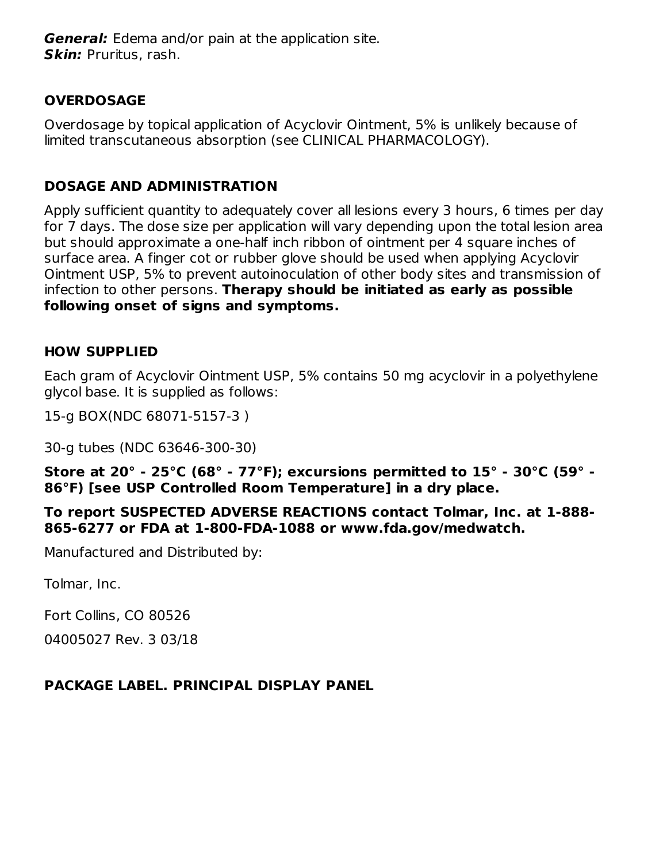**General:** Edema and/or pain at the application site. **Skin:** Pruritus, rash.

### **OVERDOSAGE**

Overdosage by topical application of Acyclovir Ointment, 5% is unlikely because of limited transcutaneous absorption (see CLINICAL PHARMACOLOGY).

#### **DOSAGE AND ADMINISTRATION**

Apply sufficient quantity to adequately cover all lesions every 3 hours, 6 times per day for 7 days. The dose size per application will vary depending upon the total lesion area but should approximate a one-half inch ribbon of ointment per 4 square inches of surface area. A finger cot or rubber glove should be used when applying Acyclovir Ointment USP, 5% to prevent autoinoculation of other body sites and transmission of infection to other persons. **Therapy should be initiated as early as possible following onset of signs and symptoms.**

#### **HOW SUPPLIED**

Each gram of Acyclovir Ointment USP, 5% contains 50 mg acyclovir in a polyethylene glycol base. It is supplied as follows:

15-g BOX(NDC 68071-5157-3 )

30-g tubes (NDC 63646-300-30)

**Store at 20° - 25°C (68° - 77°F); excursions permitted to 15° - 30°C (59° - 86°F) [see USP Controlled Room Temperature] in a dry place.**

**To report SUSPECTED ADVERSE REACTIONS contact Tolmar, Inc. at 1-888- 865-6277 or FDA at 1-800-FDA-1088 or www.fda.gov/medwatch.**

Manufactured and Distributed by:

Tolmar, Inc.

Fort Collins, CO 80526

04005027 Rev. 3 03/18

#### **PACKAGE LABEL. PRINCIPAL DISPLAY PANEL**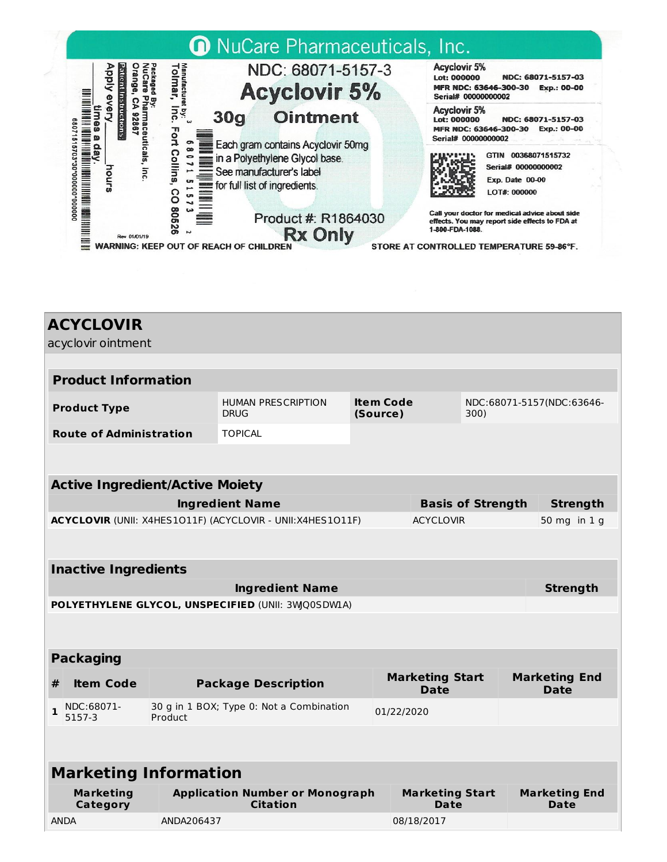

| <b>ACYCLOVIR</b><br>acyclovir ointment                     |                        |                                                           |                          |                                |                 |                                     |  |  |
|------------------------------------------------------------|------------------------|-----------------------------------------------------------|--------------------------|--------------------------------|-----------------|-------------------------------------|--|--|
|                                                            |                        |                                                           |                          |                                |                 |                                     |  |  |
| <b>Product Information</b>                                 |                        |                                                           |                          |                                |                 |                                     |  |  |
| <b>Product Type</b>                                        |                        | <b>HUMAN PRESCRIPTION</b><br><b>DRUG</b>                  | (Source)                 | <b>Item Code</b><br>300)       |                 | NDC:68071-5157(NDC:63646-           |  |  |
| <b>Route of Administration</b>                             |                        | <b>TOPICAL</b>                                            |                          |                                |                 |                                     |  |  |
|                                                            |                        |                                                           |                          |                                |                 |                                     |  |  |
| <b>Active Ingredient/Active Moiety</b>                     |                        |                                                           |                          |                                |                 |                                     |  |  |
|                                                            | <b>Ingredient Name</b> |                                                           | <b>Basis of Strength</b> |                                | <b>Strength</b> |                                     |  |  |
| ACYCLOVIR (UNII: X4HES1011F) (ACYCLOVIR - UNII:X4HES1011F) |                        |                                                           |                          | <b>ACYCLOVIR</b>               |                 | 50 mg in 1 g                        |  |  |
|                                                            |                        |                                                           |                          |                                |                 |                                     |  |  |
| <b>Inactive Ingredients</b>                                |                        |                                                           |                          |                                |                 |                                     |  |  |
| <b>Ingredient Name</b>                                     |                        |                                                           |                          |                                |                 | <b>Strength</b>                     |  |  |
| POLYETHYLENE GLYCOL, UNSPECIFIED (UNII: 3WQ0SDWLA)         |                        |                                                           |                          |                                |                 |                                     |  |  |
|                                                            |                        |                                                           |                          |                                |                 |                                     |  |  |
|                                                            |                        |                                                           |                          |                                |                 |                                     |  |  |
| <b>Packaging</b>                                           |                        |                                                           |                          |                                |                 |                                     |  |  |
| <b>Item Code</b><br>#                                      |                        | <b>Package Description</b>                                |                          | <b>Marketing Start</b><br>Date |                 | <b>Marketing End</b><br><b>Date</b> |  |  |
| NDC:68071-<br>1<br>5157-3                                  | Product                | 30 g in 1 BOX; Type 0: Not a Combination                  |                          | 01/22/2020                     |                 |                                     |  |  |
|                                                            |                        |                                                           |                          |                                |                 |                                     |  |  |
| <b>Marketing Information</b>                               |                        |                                                           |                          |                                |                 |                                     |  |  |
| <b>Marketing</b><br>Category                               |                        | <b>Application Number or Monograph</b><br><b>Citation</b> |                          | <b>Marketing Start</b><br>Date |                 | <b>Marketing End</b><br><b>Date</b> |  |  |